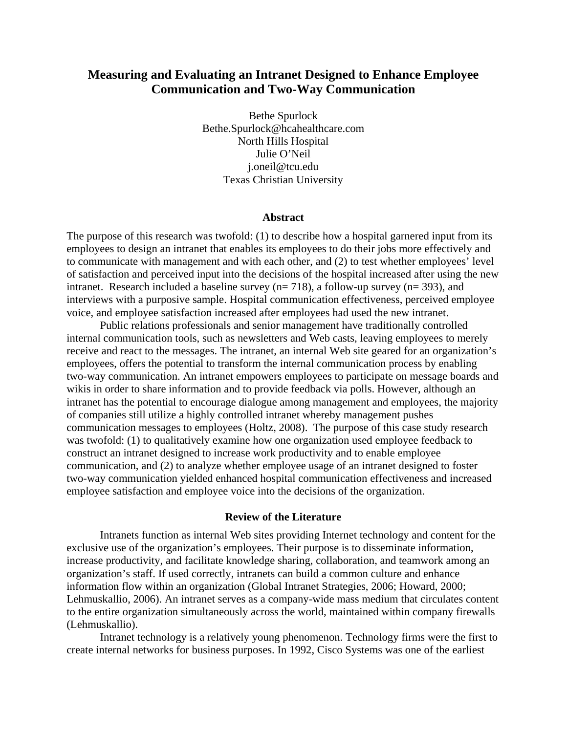# **Measuring and Evaluating an Intranet Designed to Enhance Employee Communication and Two-Way Communication**

Bethe Spurlock Bethe.Spurlock@hcahealthcare.com North Hills Hospital Julie O'Neil j.oneil@tcu.edu Texas Christian University

#### **Abstract**

The purpose of this research was twofold: (1) to describe how a hospital garnered input from its employees to design an intranet that enables its employees to do their jobs more effectively and to communicate with management and with each other, and (2) to test whether employees' level of satisfaction and perceived input into the decisions of the hospital increased after using the new intranet. Research included a baseline survey (n= 718), a follow-up survey (n= 393), and interviews with a purposive sample. Hospital communication effectiveness, perceived employee voice, and employee satisfaction increased after employees had used the new intranet.

 Public relations professionals and senior management have traditionally controlled internal communication tools, such as newsletters and Web casts, leaving employees to merely receive and react to the messages. The intranet, an internal Web site geared for an organization's employees, offers the potential to transform the internal communication process by enabling two-way communication. An intranet empowers employees to participate on message boards and wikis in order to share information and to provide feedback via polls. However, although an intranet has the potential to encourage dialogue among management and employees, the majority of companies still utilize a highly controlled intranet whereby management pushes communication messages to employees (Holtz, 2008). The purpose of this case study research was twofold: (1) to qualitatively examine how one organization used employee feedback to construct an intranet designed to increase work productivity and to enable employee communication, and (2) to analyze whether employee usage of an intranet designed to foster two-way communication yielded enhanced hospital communication effectiveness and increased employee satisfaction and employee voice into the decisions of the organization.

### **Review of the Literature**

Intranets function as internal Web sites providing Internet technology and content for the exclusive use of the organization's employees. Their purpose is to disseminate information, increase productivity, and facilitate knowledge sharing, collaboration, and teamwork among an organization's staff. If used correctly, intranets can build a common culture and enhance information flow within an organization (Global Intranet Strategies, 2006; Howard, 2000; Lehmuskallio, 2006). An intranet serves as a company-wide mass medium that circulates content to the entire organization simultaneously across the world, maintained within company firewalls (Lehmuskallio).

Intranet technology is a relatively young phenomenon. Technology firms were the first to create internal networks for business purposes. In 1992, Cisco Systems was one of the earliest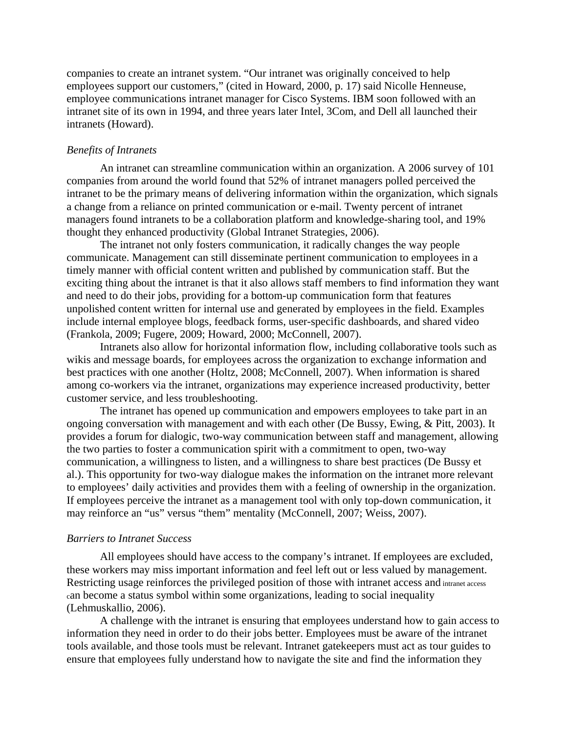companies to create an intranet system. "Our intranet was originally conceived to help employees support our customers," (cited in Howard, 2000, p. 17) said Nicolle Henneuse, employee communications intranet manager for Cisco Systems. IBM soon followed with an intranet site of its own in 1994, and three years later Intel, 3Com, and Dell all launched their intranets (Howard).

# *Benefits of Intranets*

An intranet can streamline communication within an organization. A 2006 survey of 101 companies from around the world found that 52% of intranet managers polled perceived the intranet to be the primary means of delivering information within the organization, which signals a change from a reliance on printed communication or e-mail. Twenty percent of intranet managers found intranets to be a collaboration platform and knowledge-sharing tool, and 19% thought they enhanced productivity (Global Intranet Strategies, 2006).

The intranet not only fosters communication, it radically changes the way people communicate. Management can still disseminate pertinent communication to employees in a timely manner with official content written and published by communication staff. But the exciting thing about the intranet is that it also allows staff members to find information they want and need to do their jobs, providing for a bottom-up communication form that features unpolished content written for internal use and generated by employees in the field. Examples include internal employee blogs, feedback forms, user-specific dashboards, and shared video (Frankola, 2009; Fugere, 2009; Howard, 2000; McConnell, 2007).

Intranets also allow for horizontal information flow, including collaborative tools such as wikis and message boards, for employees across the organization to exchange information and best practices with one another (Holtz, 2008; McConnell, 2007). When information is shared among co-workers via the intranet, organizations may experience increased productivity, better customer service, and less troubleshooting.

The intranet has opened up communication and empowers employees to take part in an ongoing conversation with management and with each other (De Bussy, Ewing, & Pitt, 2003). It provides a forum for dialogic, two-way communication between staff and management, allowing the two parties to foster a communication spirit with a commitment to open, two-way communication, a willingness to listen, and a willingness to share best practices (De Bussy et al.). This opportunity for two-way dialogue makes the information on the intranet more relevant to employees' daily activities and provides them with a feeling of ownership in the organization. If employees perceive the intranet as a management tool with only top-down communication, it may reinforce an "us" versus "them" mentality (McConnell, 2007; Weiss, 2007).

# *Barriers to Intranet Success*

All employees should have access to the company's intranet. If employees are excluded, these workers may miss important information and feel left out or less valued by management. Restricting usage reinforces the privileged position of those with intranet access and intranet access can become a status symbol within some organizations, leading to social inequality (Lehmuskallio, 2006).

A challenge with the intranet is ensuring that employees understand how to gain access to information they need in order to do their jobs better. Employees must be aware of the intranet tools available, and those tools must be relevant. Intranet gatekeepers must act as tour guides to ensure that employees fully understand how to navigate the site and find the information they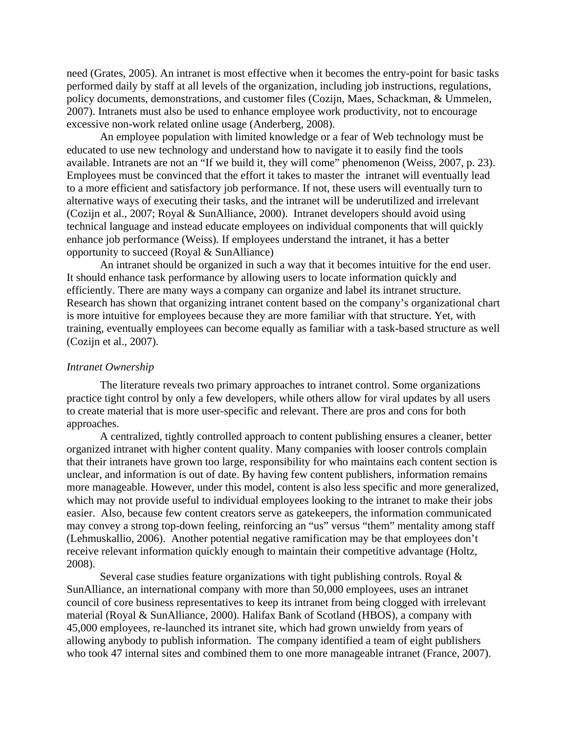need (Grates, 2005). An intranet is most effective when it becomes the entry-point for basic tasks performed daily by staff at all levels of the organization, including job instructions, regulations, policy documents, demonstrations, and customer files (Cozijn, Maes, Schackman, & Ummelen, 2007). Intranets must also be used to enhance employee work productivity, not to encourage excessive non-work related online usage (Anderberg, 2008).

An employee population with limited knowledge or a fear of Web technology must be educated to use new technology and understand how to navigate it to easily find the tools available. Intranets are not an "If we build it, they will come" phenomenon (Weiss, 2007, p. 23). Employees must be convinced that the effort it takes to master the intranet will eventually lead to a more efficient and satisfactory job performance. If not, these users will eventually turn to alternative ways of executing their tasks, and the intranet will be underutilized and irrelevant (Cozijn et al., 2007; Royal & SunAlliance, 2000). Intranet developers should avoid using technical language and instead educate employees on individual components that will quickly enhance job performance (Weiss). If employees understand the intranet, it has a better opportunity to succeed (Royal & SunAlliance)

An intranet should be organized in such a way that it becomes intuitive for the end user. It should enhance task performance by allowing users to locate information quickly and efficiently. There are many ways a company can organize and label its intranet structure. Research has shown that organizing intranet content based on the company's organizational chart is more intuitive for employees because they are more familiar with that structure. Yet, with training, eventually employees can become equally as familiar with a task-based structure as well (Cozijn et al., 2007).

### *Intranet Ownership*

The literature reveals two primary approaches to intranet control. Some organizations practice tight control by only a few developers, while others allow for viral updates by all users to create material that is more user-specific and relevant. There are pros and cons for both approaches.

A centralized, tightly controlled approach to content publishing ensures a cleaner, better organized intranet with higher content quality. Many companies with looser controls complain that their intranets have grown too large, responsibility for who maintains each content section is unclear, and information is out of date. By having few content publishers, information remains more manageable. However, under this model, content is also less specific and more generalized, which may not provide useful to individual employees looking to the intranet to make their jobs easier. Also, because few content creators serve as gatekeepers, the information communicated may convey a strong top-down feeling, reinforcing an "us" versus "them" mentality among staff (Lehmuskallio, 2006). Another potential negative ramification may be that employees don't receive relevant information quickly enough to maintain their competitive advantage (Holtz, 2008).

Several case studies feature organizations with tight publishing controls. Royal & SunAlliance, an international company with more than 50,000 employees, uses an intranet council of core business representatives to keep its intranet from being clogged with irrelevant material (Royal & SunAlliance, 2000). Halifax Bank of Scotland (HBOS), a company with 45,000 employees, re-launched its intranet site, which had grown unwieldy from years of allowing anybody to publish information. The company identified a team of eight publishers who took 47 internal sites and combined them to one more manageable intranet (France, 2007).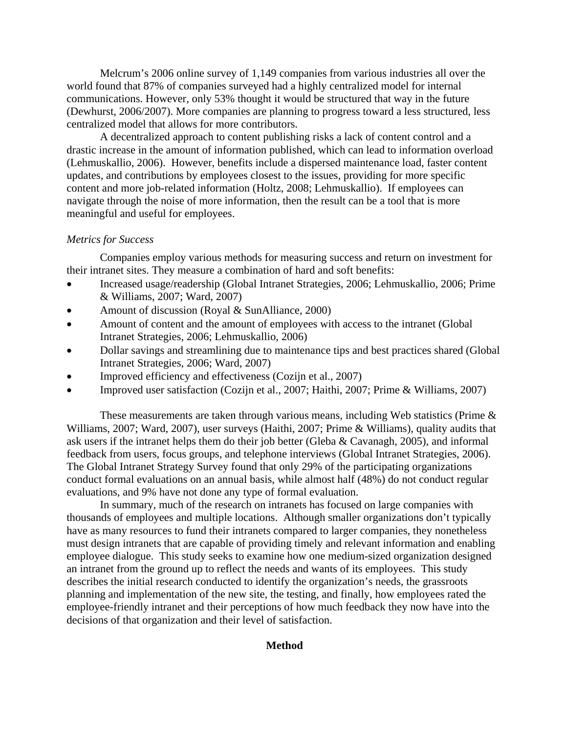Melcrum's 2006 online survey of 1,149 companies from various industries all over the world found that 87% of companies surveyed had a highly centralized model for internal communications. However, only 53% thought it would be structured that way in the future (Dewhurst, 2006/2007). More companies are planning to progress toward a less structured, less centralized model that allows for more contributors.

A decentralized approach to content publishing risks a lack of content control and a drastic increase in the amount of information published, which can lead to information overload (Lehmuskallio, 2006). However, benefits include a dispersed maintenance load, faster content updates, and contributions by employees closest to the issues, providing for more specific content and more job-related information (Holtz, 2008; Lehmuskallio). If employees can navigate through the noise of more information, then the result can be a tool that is more meaningful and useful for employees.

# *Metrics for Success*

Companies employ various methods for measuring success and return on investment for their intranet sites. They measure a combination of hard and soft benefits:

- Increased usage/readership (Global Intranet Strategies, 2006; Lehmuskallio, 2006; Prime & Williams, 2007; Ward, 2007)
- Amount of discussion (Royal & SunAlliance, 2000)
- Amount of content and the amount of employees with access to the intranet (Global Intranet Strategies, 2006; Lehmuskallio, 2006)
- Dollar savings and streamlining due to maintenance tips and best practices shared (Global Intranet Strategies, 2006; Ward, 2007)
- Improved efficiency and effectiveness (Cozijn et al., 2007)
- Improved user satisfaction (Cozijn et al., 2007; Haithi, 2007; Prime & Williams, 2007)

These measurements are taken through various means, including Web statistics (Prime & Williams, 2007; Ward, 2007), user surveys (Haithi, 2007; Prime & Williams), quality audits that ask users if the intranet helps them do their job better (Gleba & Cavanagh, 2005), and informal feedback from users, focus groups, and telephone interviews (Global Intranet Strategies, 2006). The Global Intranet Strategy Survey found that only 29% of the participating organizations conduct formal evaluations on an annual basis, while almost half (48%) do not conduct regular evaluations, and 9% have not done any type of formal evaluation.

In summary, much of the research on intranets has focused on large companies with thousands of employees and multiple locations. Although smaller organizations don't typically have as many resources to fund their intranets compared to larger companies, they nonetheless must design intranets that are capable of providing timely and relevant information and enabling employee dialogue. This study seeks to examine how one medium-sized organization designed an intranet from the ground up to reflect the needs and wants of its employees. This study describes the initial research conducted to identify the organization's needs, the grassroots planning and implementation of the new site, the testing, and finally, how employees rated the employee-friendly intranet and their perceptions of how much feedback they now have into the decisions of that organization and their level of satisfaction.

# **Method**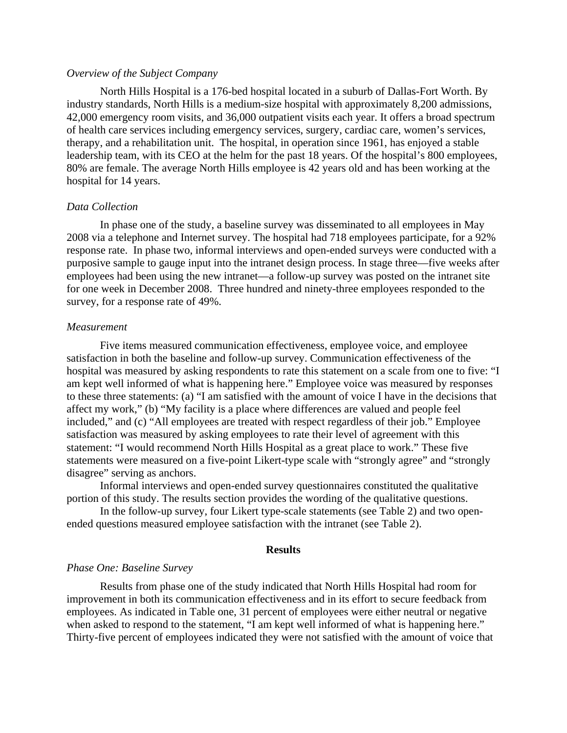### *Overview of the Subject Company*

North Hills Hospital is a 176-bed hospital located in a suburb of Dallas-Fort Worth. By industry standards, North Hills is a medium-size hospital with approximately 8,200 admissions, 42,000 emergency room visits, and 36,000 outpatient visits each year. It offers a broad spectrum of health care services including emergency services, surgery, cardiac care, women's services, therapy, and a rehabilitation unit. The hospital, in operation since 1961, has enjoyed a stable leadership team, with its CEO at the helm for the past 18 years. Of the hospital's 800 employees, 80% are female. The average North Hills employee is 42 years old and has been working at the hospital for 14 years.

# *Data Collection*

In phase one of the study, a baseline survey was disseminated to all employees in May 2008 via a telephone and Internet survey. The hospital had 718 employees participate, for a 92% response rate. In phase two, informal interviews and open-ended surveys were conducted with a purposive sample to gauge input into the intranet design process. In stage three—five weeks after employees had been using the new intranet—a follow-up survey was posted on the intranet site for one week in December 2008. Three hundred and ninety-three employees responded to the survey, for a response rate of 49%.

# *Measurement*

 Five items measured communication effectiveness, employee voice, and employee satisfaction in both the baseline and follow-up survey. Communication effectiveness of the hospital was measured by asking respondents to rate this statement on a scale from one to five: "I am kept well informed of what is happening here." Employee voice was measured by responses to these three statements: (a) "I am satisfied with the amount of voice I have in the decisions that affect my work," (b) "My facility is a place where differences are valued and people feel included," and (c) "All employees are treated with respect regardless of their job." Employee satisfaction was measured by asking employees to rate their level of agreement with this statement: "I would recommend North Hills Hospital as a great place to work." These five statements were measured on a five-point Likert-type scale with "strongly agree" and "strongly disagree" serving as anchors.

 Informal interviews and open-ended survey questionnaires constituted the qualitative portion of this study. The results section provides the wording of the qualitative questions.

 In the follow-up survey, four Likert type-scale statements (see Table 2) and two openended questions measured employee satisfaction with the intranet (see Table 2).

### **Results**

#### *Phase One: Baseline Survey*

 Results from phase one of the study indicated that North Hills Hospital had room for improvement in both its communication effectiveness and in its effort to secure feedback from employees. As indicated in Table one, 31 percent of employees were either neutral or negative when asked to respond to the statement, "I am kept well informed of what is happening here." Thirty-five percent of employees indicated they were not satisfied with the amount of voice that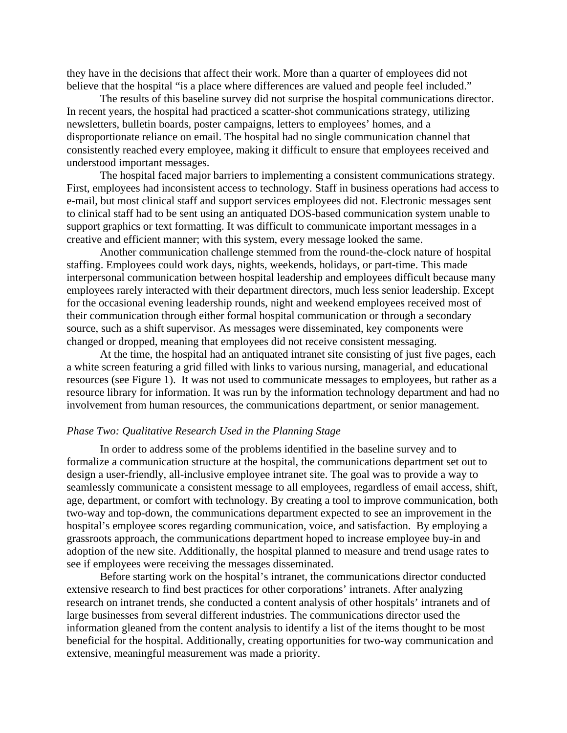they have in the decisions that affect their work. More than a quarter of employees did not believe that the hospital "is a place where differences are valued and people feel included."

 The results of this baseline survey did not surprise the hospital communications director. In recent years, the hospital had practiced a scatter-shot communications strategy, utilizing newsletters, bulletin boards, poster campaigns, letters to employees' homes, and a disproportionate reliance on email. The hospital had no single communication channel that consistently reached every employee, making it difficult to ensure that employees received and understood important messages.

The hospital faced major barriers to implementing a consistent communications strategy. First, employees had inconsistent access to technology. Staff in business operations had access to e-mail, but most clinical staff and support services employees did not. Electronic messages sent to clinical staff had to be sent using an antiquated DOS-based communication system unable to support graphics or text formatting. It was difficult to communicate important messages in a creative and efficient manner; with this system, every message looked the same.

Another communication challenge stemmed from the round-the-clock nature of hospital staffing. Employees could work days, nights, weekends, holidays, or part-time. This made interpersonal communication between hospital leadership and employees difficult because many employees rarely interacted with their department directors, much less senior leadership. Except for the occasional evening leadership rounds, night and weekend employees received most of their communication through either formal hospital communication or through a secondary source, such as a shift supervisor. As messages were disseminated, key components were changed or dropped, meaning that employees did not receive consistent messaging.

At the time, the hospital had an antiquated intranet site consisting of just five pages, each a white screen featuring a grid filled with links to various nursing, managerial, and educational resources (see Figure 1). It was not used to communicate messages to employees, but rather as a resource library for information. It was run by the information technology department and had no involvement from human resources, the communications department, or senior management.

# *Phase Two: Qualitative Research Used in the Planning Stage*

In order to address some of the problems identified in the baseline survey and to formalize a communication structure at the hospital, the communications department set out to design a user-friendly, all-inclusive employee intranet site. The goal was to provide a way to seamlessly communicate a consistent message to all employees, regardless of email access, shift, age, department, or comfort with technology. By creating a tool to improve communication, both two-way and top-down, the communications department expected to see an improvement in the hospital's employee scores regarding communication, voice, and satisfaction. By employing a grassroots approach, the communications department hoped to increase employee buy-in and adoption of the new site. Additionally, the hospital planned to measure and trend usage rates to see if employees were receiving the messages disseminated.

Before starting work on the hospital's intranet, the communications director conducted extensive research to find best practices for other corporations' intranets. After analyzing research on intranet trends, she conducted a content analysis of other hospitals' intranets and of large businesses from several different industries. The communications director used the information gleaned from the content analysis to identify a list of the items thought to be most beneficial for the hospital. Additionally, creating opportunities for two-way communication and extensive, meaningful measurement was made a priority.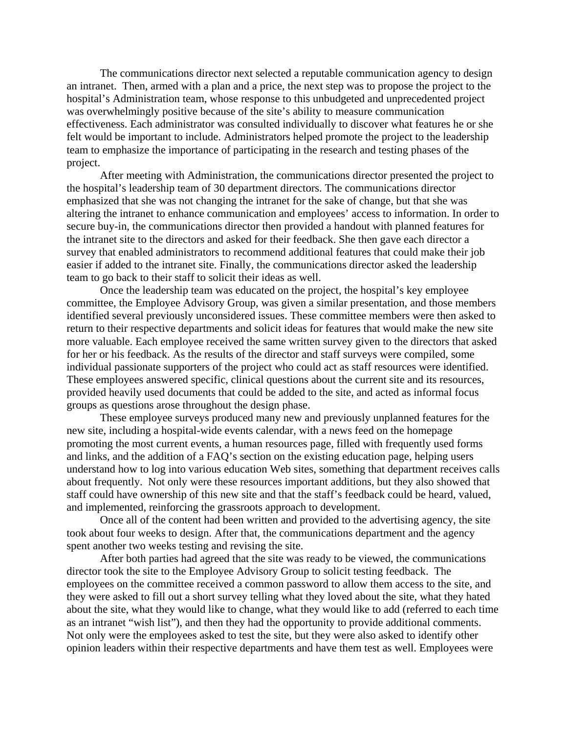The communications director next selected a reputable communication agency to design an intranet. Then, armed with a plan and a price, the next step was to propose the project to the hospital's Administration team, whose response to this unbudgeted and unprecedented project was overwhelmingly positive because of the site's ability to measure communication effectiveness. Each administrator was consulted individually to discover what features he or she felt would be important to include. Administrators helped promote the project to the leadership team to emphasize the importance of participating in the research and testing phases of the project.

After meeting with Administration, the communications director presented the project to the hospital's leadership team of 30 department directors. The communications director emphasized that she was not changing the intranet for the sake of change, but that she was altering the intranet to enhance communication and employees' access to information. In order to secure buy-in, the communications director then provided a handout with planned features for the intranet site to the directors and asked for their feedback. She then gave each director a survey that enabled administrators to recommend additional features that could make their job easier if added to the intranet site. Finally, the communications director asked the leadership team to go back to their staff to solicit their ideas as well.

Once the leadership team was educated on the project, the hospital's key employee committee, the Employee Advisory Group, was given a similar presentation, and those members identified several previously unconsidered issues. These committee members were then asked to return to their respective departments and solicit ideas for features that would make the new site more valuable. Each employee received the same written survey given to the directors that asked for her or his feedback. As the results of the director and staff surveys were compiled, some individual passionate supporters of the project who could act as staff resources were identified. These employees answered specific, clinical questions about the current site and its resources, provided heavily used documents that could be added to the site, and acted as informal focus groups as questions arose throughout the design phase.

These employee surveys produced many new and previously unplanned features for the new site, including a hospital-wide events calendar, with a news feed on the homepage promoting the most current events, a human resources page, filled with frequently used forms and links, and the addition of a FAQ's section on the existing education page, helping users understand how to log into various education Web sites, something that department receives calls about frequently. Not only were these resources important additions, but they also showed that staff could have ownership of this new site and that the staff's feedback could be heard, valued, and implemented, reinforcing the grassroots approach to development.

Once all of the content had been written and provided to the advertising agency, the site took about four weeks to design. After that, the communications department and the agency spent another two weeks testing and revising the site.

After both parties had agreed that the site was ready to be viewed, the communications director took the site to the Employee Advisory Group to solicit testing feedback. The employees on the committee received a common password to allow them access to the site, and they were asked to fill out a short survey telling what they loved about the site, what they hated about the site, what they would like to change, what they would like to add (referred to each time as an intranet "wish list"), and then they had the opportunity to provide additional comments. Not only were the employees asked to test the site, but they were also asked to identify other opinion leaders within their respective departments and have them test as well. Employees were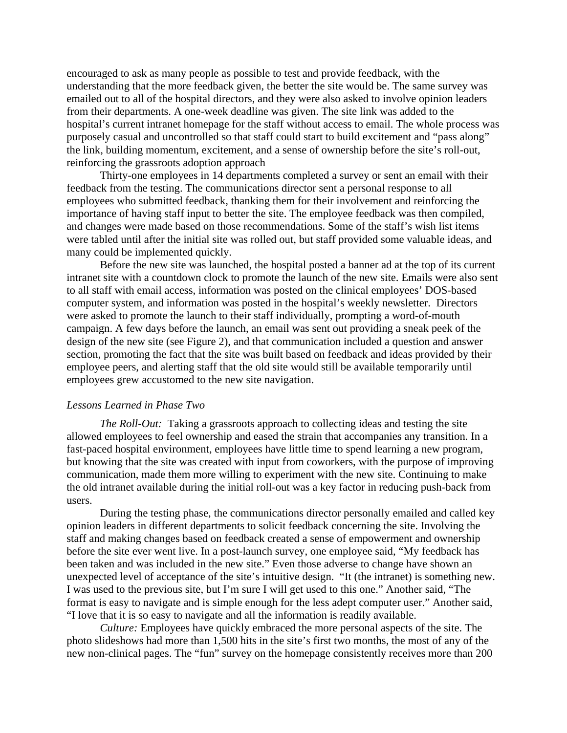encouraged to ask as many people as possible to test and provide feedback, with the understanding that the more feedback given, the better the site would be. The same survey was emailed out to all of the hospital directors, and they were also asked to involve opinion leaders from their departments. A one-week deadline was given. The site link was added to the hospital's current intranet homepage for the staff without access to email. The whole process was purposely casual and uncontrolled so that staff could start to build excitement and "pass along" the link, building momentum, excitement, and a sense of ownership before the site's roll-out, reinforcing the grassroots adoption approach

Thirty-one employees in 14 departments completed a survey or sent an email with their feedback from the testing. The communications director sent a personal response to all employees who submitted feedback, thanking them for their involvement and reinforcing the importance of having staff input to better the site. The employee feedback was then compiled, and changes were made based on those recommendations. Some of the staff's wish list items were tabled until after the initial site was rolled out, but staff provided some valuable ideas, and many could be implemented quickly.

Before the new site was launched, the hospital posted a banner ad at the top of its current intranet site with a countdown clock to promote the launch of the new site. Emails were also sent to all staff with email access, information was posted on the clinical employees' DOS-based computer system, and information was posted in the hospital's weekly newsletter. Directors were asked to promote the launch to their staff individually, prompting a word-of-mouth campaign. A few days before the launch, an email was sent out providing a sneak peek of the design of the new site (see Figure 2), and that communication included a question and answer section, promoting the fact that the site was built based on feedback and ideas provided by their employee peers, and alerting staff that the old site would still be available temporarily until employees grew accustomed to the new site navigation.

#### *Lessons Learned in Phase Two*

*The Roll-Out:* Taking a grassroots approach to collecting ideas and testing the site allowed employees to feel ownership and eased the strain that accompanies any transition. In a fast-paced hospital environment, employees have little time to spend learning a new program, but knowing that the site was created with input from coworkers, with the purpose of improving communication, made them more willing to experiment with the new site. Continuing to make the old intranet available during the initial roll-out was a key factor in reducing push-back from users.

During the testing phase, the communications director personally emailed and called key opinion leaders in different departments to solicit feedback concerning the site. Involving the staff and making changes based on feedback created a sense of empowerment and ownership before the site ever went live. In a post-launch survey, one employee said, "My feedback has been taken and was included in the new site." Even those adverse to change have shown an unexpected level of acceptance of the site's intuitive design. "It (the intranet) is something new. I was used to the previous site, but I'm sure I will get used to this one." Another said, "The format is easy to navigate and is simple enough for the less adept computer user." Another said, "I love that it is so easy to navigate and all the information is readily available.

*Culture:* Employees have quickly embraced the more personal aspects of the site. The photo slideshows had more than 1,500 hits in the site's first two months, the most of any of the new non-clinical pages. The "fun" survey on the homepage consistently receives more than 200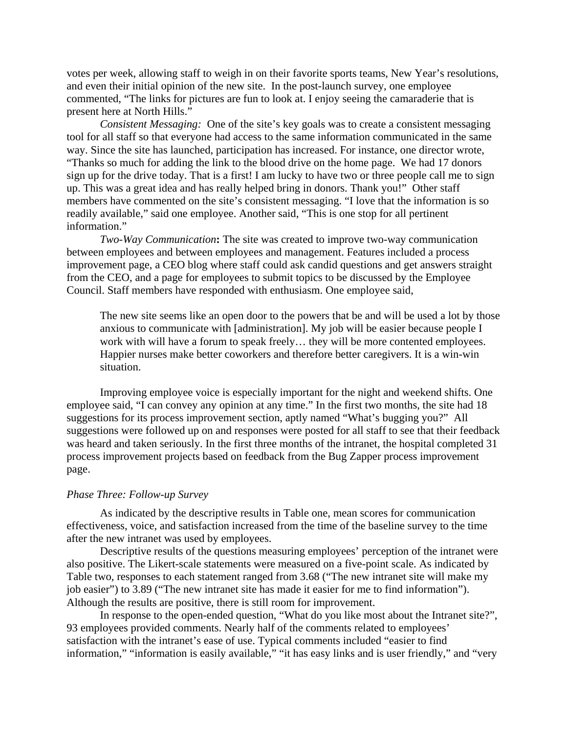votes per week, allowing staff to weigh in on their favorite sports teams, New Year's resolutions, and even their initial opinion of the new site. In the post-launch survey, one employee commented, "The links for pictures are fun to look at. I enjoy seeing the camaraderie that is present here at North Hills."

*Consistent Messaging:* One of the site's key goals was to create a consistent messaging tool for all staff so that everyone had access to the same information communicated in the same way. Since the site has launched, participation has increased. For instance, one director wrote, "Thanks so much for adding the link to the blood drive on the home page. We had 17 donors sign up for the drive today. That is a first! I am lucky to have two or three people call me to sign up. This was a great idea and has really helped bring in donors. Thank you!" Other staff members have commented on the site's consistent messaging. "I love that the information is so readily available," said one employee. Another said, "This is one stop for all pertinent information."

*Two-Way Communication***:** The site was created to improve two-way communication between employees and between employees and management. Features included a process improvement page, a CEO blog where staff could ask candid questions and get answers straight from the CEO, and a page for employees to submit topics to be discussed by the Employee Council. Staff members have responded with enthusiasm. One employee said,

The new site seems like an open door to the powers that be and will be used a lot by those anxious to communicate with [administration]. My job will be easier because people I work with will have a forum to speak freely… they will be more contented employees. Happier nurses make better coworkers and therefore better caregivers. It is a win-win situation.

Improving employee voice is especially important for the night and weekend shifts. One employee said, "I can convey any opinion at any time." In the first two months, the site had 18 suggestions for its process improvement section, aptly named "What's bugging you?" All suggestions were followed up on and responses were posted for all staff to see that their feedback was heard and taken seriously. In the first three months of the intranet, the hospital completed 31 process improvement projects based on feedback from the Bug Zapper process improvement page.

### *Phase Three: Follow-up Survey*

As indicated by the descriptive results in Table one, mean scores for communication effectiveness, voice, and satisfaction increased from the time of the baseline survey to the time after the new intranet was used by employees.

Descriptive results of the questions measuring employees' perception of the intranet were also positive. The Likert-scale statements were measured on a five-point scale. As indicated by Table two, responses to each statement ranged from 3.68 ("The new intranet site will make my job easier") to 3.89 ("The new intranet site has made it easier for me to find information"). Although the results are positive, there is still room for improvement.

In response to the open-ended question, "What do you like most about the Intranet site?", 93 employees provided comments. Nearly half of the comments related to employees' satisfaction with the intranet's ease of use. Typical comments included "easier to find information," "information is easily available," "it has easy links and is user friendly," and "very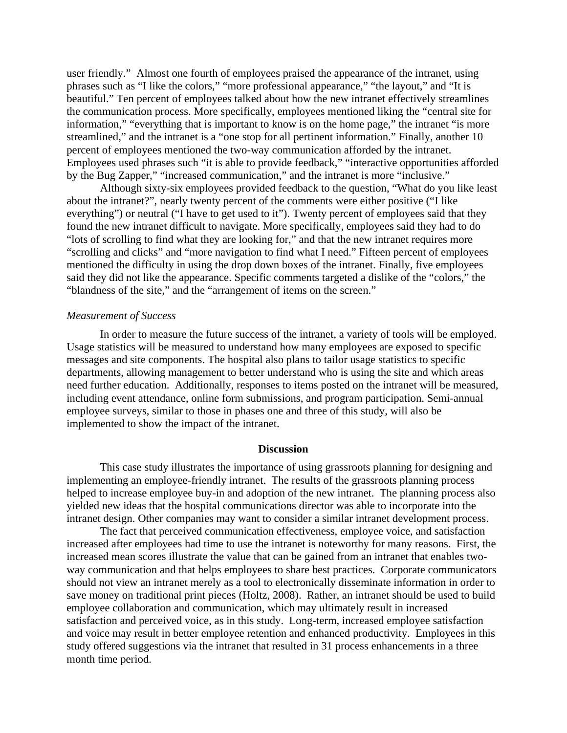user friendly." Almost one fourth of employees praised the appearance of the intranet, using phrases such as "I like the colors," "more professional appearance," "the layout," and "It is beautiful." Ten percent of employees talked about how the new intranet effectively streamlines the communication process. More specifically, employees mentioned liking the "central site for information," "everything that is important to know is on the home page," the intranet "is more streamlined," and the intranet is a "one stop for all pertinent information." Finally, another 10 percent of employees mentioned the two-way communication afforded by the intranet. Employees used phrases such "it is able to provide feedback," "interactive opportunities afforded by the Bug Zapper," "increased communication," and the intranet is more "inclusive."

Although sixty-six employees provided feedback to the question, "What do you like least about the intranet?", nearly twenty percent of the comments were either positive ("I like everything") or neutral ("I have to get used to it"). Twenty percent of employees said that they found the new intranet difficult to navigate. More specifically, employees said they had to do "lots of scrolling to find what they are looking for," and that the new intranet requires more "scrolling and clicks" and "more navigation to find what I need." Fifteen percent of employees mentioned the difficulty in using the drop down boxes of the intranet. Finally, five employees said they did not like the appearance. Specific comments targeted a dislike of the "colors," the "blandness of the site," and the "arrangement of items on the screen."

# *Measurement of Success*

In order to measure the future success of the intranet, a variety of tools will be employed. Usage statistics will be measured to understand how many employees are exposed to specific messages and site components. The hospital also plans to tailor usage statistics to specific departments, allowing management to better understand who is using the site and which areas need further education. Additionally, responses to items posted on the intranet will be measured, including event attendance, online form submissions, and program participation. Semi-annual employee surveys, similar to those in phases one and three of this study, will also be implemented to show the impact of the intranet.

#### **Discussion**

This case study illustrates the importance of using grassroots planning for designing and implementing an employee-friendly intranet. The results of the grassroots planning process helped to increase employee buy-in and adoption of the new intranet. The planning process also yielded new ideas that the hospital communications director was able to incorporate into the intranet design. Other companies may want to consider a similar intranet development process.

The fact that perceived communication effectiveness, employee voice, and satisfaction increased after employees had time to use the intranet is noteworthy for many reasons. First, the increased mean scores illustrate the value that can be gained from an intranet that enables twoway communication and that helps employees to share best practices. Corporate communicators should not view an intranet merely as a tool to electronically disseminate information in order to save money on traditional print pieces (Holtz, 2008). Rather, an intranet should be used to build employee collaboration and communication, which may ultimately result in increased satisfaction and perceived voice, as in this study. Long-term, increased employee satisfaction and voice may result in better employee retention and enhanced productivity. Employees in this study offered suggestions via the intranet that resulted in 31 process enhancements in a three month time period.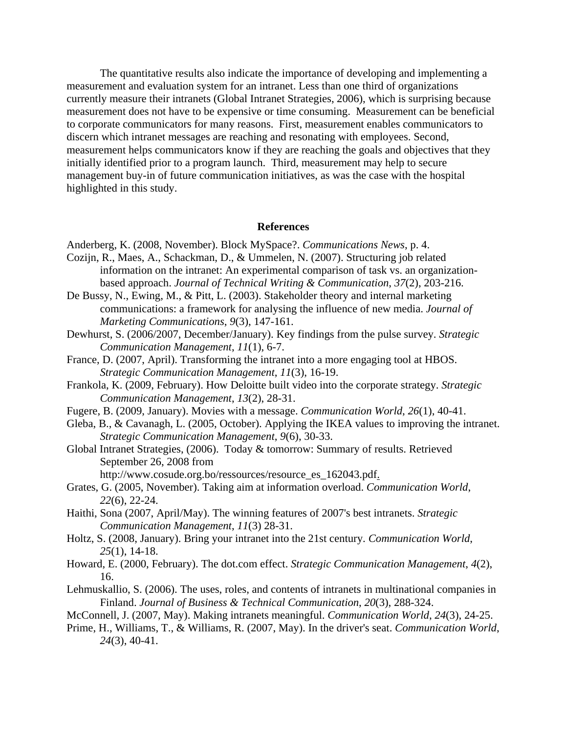The quantitative results also indicate the importance of developing and implementing a measurement and evaluation system for an intranet. Less than one third of organizations currently measure their intranets (Global Intranet Strategies, 2006), which is surprising because measurement does not have to be expensive or time consuming. Measurement can be beneficial to corporate communicators for many reasons. First, measurement enables communicators to discern which intranet messages are reaching and resonating with employees. Second, measurement helps communicators know if they are reaching the goals and objectives that they initially identified prior to a program launch. Third, measurement may help to secure management buy-in of future communication initiatives, as was the case with the hospital highlighted in this study.

#### **References**

Anderberg, K. (2008, November). Block MySpace?. *Communications News*, p. 4.

- Cozijn, R., Maes, A., Schackman, D., & Ummelen, N. (2007). Structuring job related information on the intranet: An experimental comparison of task vs. an organizationbased approach. *Journal of Technical Writing & Communication*, *37*(2), 203-216.
- De Bussy, N., Ewing, M., & Pitt, L. (2003). Stakeholder theory and internal marketing communications: a framework for analysing the influence of new media. *Journal of Marketing Communications*, *9*(3), 147-161.
- Dewhurst, S. (2006/2007, December/January). Key findings from the pulse survey. *Strategic Communication Management*, *11*(1), 6-7.
- France, D. (2007, April). Transforming the intranet into a more engaging tool at HBOS. *Strategic Communication Management*, *11*(3), 16-19.
- Frankola, K. (2009, February). How Deloitte built video into the corporate strategy. *Strategic Communication Management*, *13*(2), 28-31.
- Fugere, B. (2009, January). Movies with a message. *Communication World*, *26*(1), 40-41.
- Gleba, B., & Cavanagh, L. (2005, October). Applying the IKEA values to improving the intranet. *Strategic Communication Management*, *9*(6), 30-33.
- Global Intranet Strategies, (2006). Today & tomorrow: Summary of results. Retrieved September 26, 2008 from

http://www.cosude.org.bo/ressources/resource\_es\_162043.pdf.

- Grates, G. (2005, November). Taking aim at information overload. *Communication World*, *22*(6), 22-24.
- Haithi, Sona (2007, April/May). The winning features of 2007's best intranets. *Strategic Communication Management*, *11*(3) 28-31.
- Holtz, S. (2008, January). Bring your intranet into the 21st century. *Communication World*, *25*(1), 14-18.
- Howard, E. (2000, February). The dot.com effect. *Strategic Communication Management*, *4*(2), 16.
- Lehmuskallio, S. (2006). The uses, roles, and contents of intranets in multinational companies in Finland. *Journal of Business & Technical Communication*, *20*(3), 288-324.
- McConnell, J. (2007, May). Making intranets meaningful. *Communication World*, *24*(3), 24-25.
- Prime, H., Williams, T., & Williams, R. (2007, May). In the driver's seat. *Communication World*, *24*(3), 40-41.